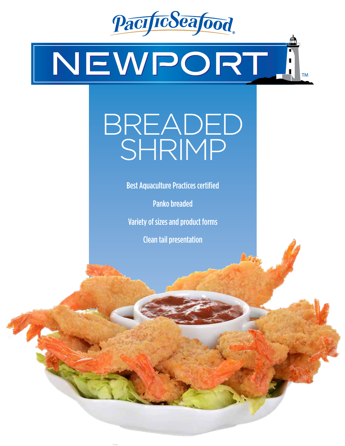

# NEWPORT

## BREADED SHRIMP

Best Aquaculture Practices certified

Panko breaded

Variety of sizes and product forms

Clean tail presentation